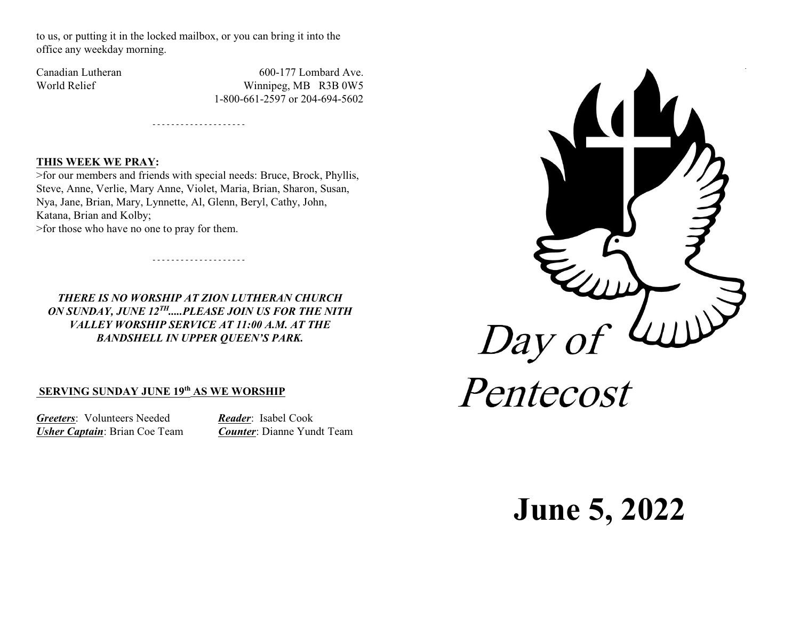to us, or putting it in the locked mailbox, or you can bring it into the office any weekday morning.

Canadian Lutheran 600-177 Lombard Ave. World Relief Winnipeg, MB R3B 0W5 1-800-661-2597 or 204-694-5602

#### **THIS WEEK WE PRAY:**

>for our members and friends with special needs: Bruce, Brock, Phyllis, Steve, Anne, Verlie, Mary Anne, Violet, Maria, Brian, Sharon, Susan, Nya, Jane, Brian, Mary, Lynnette, Al, Glenn, Beryl, Cathy, John, Katana, Brian and Kolby;

- - - - - - - - - - - - - - - - - - - -

- - - - - - - - - - - - - - - - - - - -

>for those who have no one to pray for them.

*THERE IS NO WORSHIP AT ZION LUTHERAN CHURCH ON SUNDAY, JUNE 12TH .....PLEASE JOIN US FOR THE NITH VALLEY WORSHIP SERVICE AT 11:00 A.M. AT THE BANDSHELL IN UPPER QUEEN'S PARK.*

# **SERVING SUNDAY JUNE 19th AS WE WORSHIP**

*Greeters*: Volunteers Needed *Reader*: Isabel Cook *Usher Captain*: Brian Coe Team *Counter*: Dianne Yundt Team



**June 5, 2022**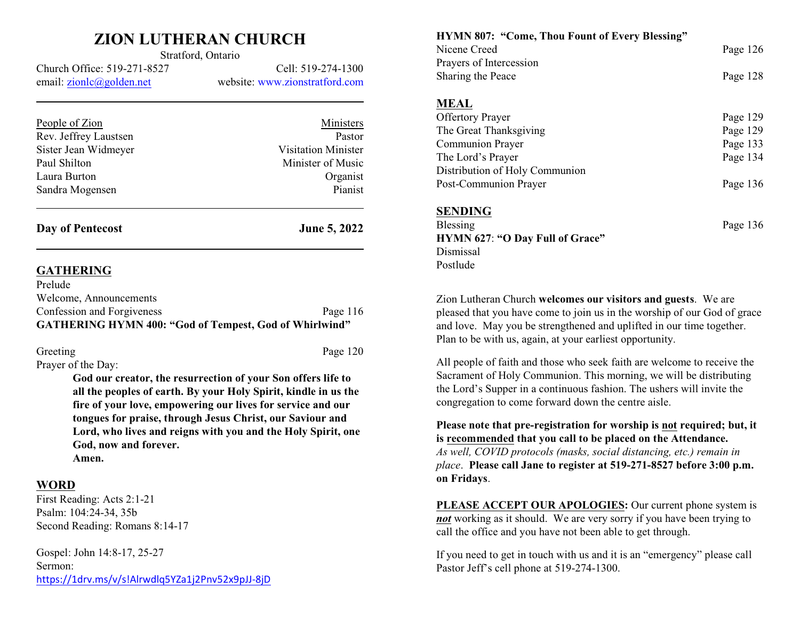# **ZION LUTHERAN CHURCH** Stratford, Ontario

Church Office: 519-271-8527 Cell: 519-274-1300 email: [zionlc@golden.net](mailto:zionlc@golden.net) website: www.zionstratford.com

| People of Zion        | Ministers                  |
|-----------------------|----------------------------|
| Rev. Jeffrey Laustsen | Pastor                     |
| Sister Jean Widmeyer  | <b>Visitation Minister</b> |
| Paul Shilton          | Minister of Music          |
| Laura Burton          | Organist                   |
| Sandra Mogensen       | Pianist                    |
|                       |                            |

**Day of Pentecost June 5, 2022**

### **GATHERING**

| <b>GATHERING HYMN 400: "God of Tempest, God of Whirlwind"</b> |            |
|---------------------------------------------------------------|------------|
| Confession and Forgiveness                                    | Page $116$ |
| Welcome, Announcements                                        |            |
| Prelude                                                       |            |

Greeting Page 120 Prayer of the Day:

**God our creator, the resurrection of your Son offers life to all the peoples of earth. By your Holy Spirit, kindle in us the fire of your love, empowering our lives for service and our tongues for praise, through Jesus Christ, our Saviour and Lord, who lives and reigns with you and the Holy Spirit, one God, now and forever.**

**Amen.**

# **WORD**

First Reading: Acts 2:1-21 Psalm: 104:24-34, 35b Second Reading: Romans 8:14-17

Gospel: John 14:8-17, 25-27 Sermon: <https://1drv.ms/v/s!Alrwdlq5YZa1j2Pnv52x9pJJ-8jD> **HYMN 807: "Come, Thou Fount of Every Blessing"** Nicene Creed Page 126 Prayers of Intercession Sharing the Peace Page 128 **MEAL** Offertory Prayer Page 129 The Great Thanksgiving Page 129 Communion Prayer Page 133 The Lord's Prayer Page 134 Distribution of Holy Communion Post-Communion Prayer Page 136 **SENDING** Blessing Page 136 **HYMN 627**: **"O Day Full of Grace"** Dismissal Postlude

Zion Lutheran Church **welcomes our visitors and guests**. We are pleased that you have come to join us in the worship of our God of grace and love. May you be strengthened and uplifted in our time together. Plan to be with us, again, at your earliest opportunity.

All people of faith and those who seek faith are welcome to receive the Sacrament of Holy Communion. This morning, we will be distributing the Lord's Supper in a continuous fashion. The ushers will invite the congregation to come forward down the centre aisle.

**Please note that pre-registration for worship is not required; but, it is recommended that you call to be placed on the Attendance.** *As well, COVID protocols (masks, social distancing, etc.) remain in place*. **Please call Jane to register at 519-271-8527 before 3:00 p.m. on Fridays**.

**PLEASE ACCEPT OUR APOLOGIES:** Our current phone system is *not* working as it should. We are very sorry if you have been trying to call the office and you have not been able to get through.

If you need to get in touch with us and it is an "emergency" please call Pastor Jeff's cell phone at 519-274-1300.